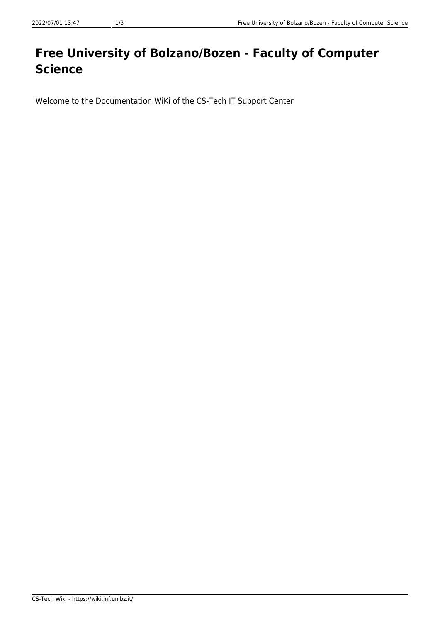## **Free University of Bolzano/Bozen - Faculty of Computer Science**

Welcome to the Documentation WiKi of the CS-Tech IT Support Center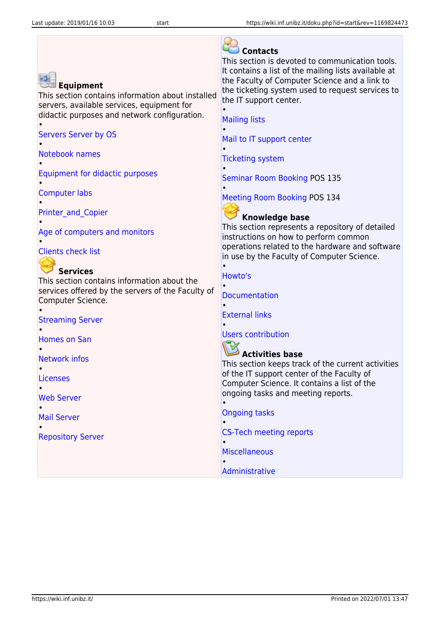| <b>Equipment</b><br>This section contains information about installed<br>servers, available services, equipment for<br>didactic purposes and network configuration.<br><b>Servers Server by OS</b><br>Notebook names | <b>Contacts</b><br>This section is devoted to communication tools.<br>It contains a list of the mailing lists available at<br>the Faculty of Computer Science and a link to<br>the ticketing system used to request services to<br>the IT support center.<br><b>Mailing lists</b><br>Mail to IT support center |
|----------------------------------------------------------------------------------------------------------------------------------------------------------------------------------------------------------------------|----------------------------------------------------------------------------------------------------------------------------------------------------------------------------------------------------------------------------------------------------------------------------------------------------------------|
|                                                                                                                                                                                                                      | <b>Ticketing system</b>                                                                                                                                                                                                                                                                                        |
| Equipment for didactic purposes                                                                                                                                                                                      | <b>Seminar Room Booking POS 135</b>                                                                                                                                                                                                                                                                            |
| <b>Computer labs</b>                                                                                                                                                                                                 | <b>Meeting Room Booking POS 134</b>                                                                                                                                                                                                                                                                            |
| <b>Printer and Copier</b>                                                                                                                                                                                            | <b>Knowledge base</b>                                                                                                                                                                                                                                                                                          |
| Age of computers and monitors<br><b>Clients check list</b>                                                                                                                                                           | This section represents a repository of detailed<br>instructions on how to perform common<br>operations related to the hardware and software<br>in use by the Faculty of Computer Science.                                                                                                                     |
| <b>Services</b>                                                                                                                                                                                                      | Howto's                                                                                                                                                                                                                                                                                                        |
| This section contains information about the<br>services offered by the servers of the Faculty of<br>Computer Science.                                                                                                | <b>Documentation</b>                                                                                                                                                                                                                                                                                           |
| <b>Streaming Server</b>                                                                                                                                                                                              | <b>External links</b>                                                                                                                                                                                                                                                                                          |
| <b>Homes on San</b>                                                                                                                                                                                                  | <b>Users contribution</b>                                                                                                                                                                                                                                                                                      |
| <b>Network infos</b><br><b>Licenses</b>                                                                                                                                                                              | <b>Activities base</b><br>This section keeps track of the current activities<br>of the IT support center of the Faculty of                                                                                                                                                                                     |
|                                                                                                                                                                                                                      | Computer Science. It contains a list of the                                                                                                                                                                                                                                                                    |
| <b>Web Server</b>                                                                                                                                                                                                    | ongoing tasks and meeting reports.                                                                                                                                                                                                                                                                             |
| <b>Mail Server</b>                                                                                                                                                                                                   | <b>Ongoing tasks</b>                                                                                                                                                                                                                                                                                           |
| <b>Repository Server</b>                                                                                                                                                                                             | <b>CS-Tech meeting reports</b><br><b>Miscellaneous</b>                                                                                                                                                                                                                                                         |
|                                                                                                                                                                                                                      | Administrative                                                                                                                                                                                                                                                                                                 |